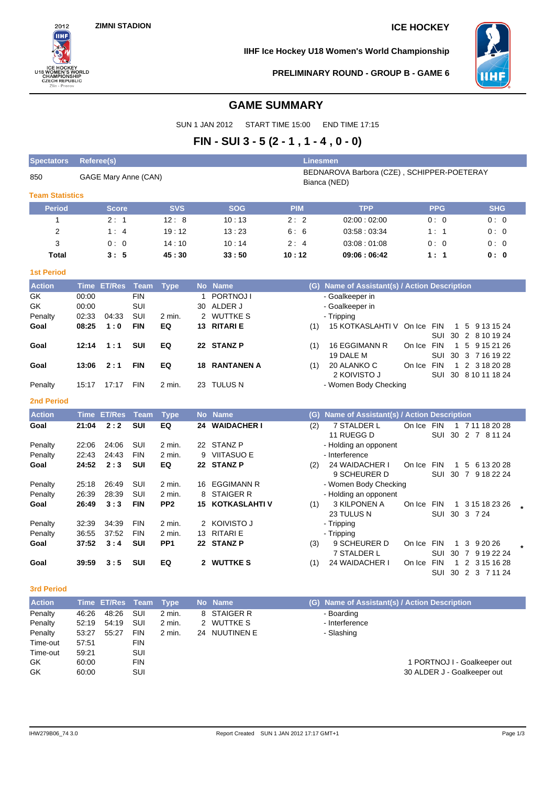**Spectators Referee(s) Linesmen**



**IIHF Ice Hockey U18 Women's World Championship**



**PRELIMINARY ROUND - GROUP B - GAME 6**

# **GAME SUMMARY**

SUN 1 JAN 2012 START TIME 15:00 END TIME 17:15

# **FIN - SUI 3 - 5 (2 - 1 , 1 - 4 , 0 - 0)**

| 850                    | BEDNAROVA Barbora (CZE), SCHIPPER-POETERAY<br>GAGE Mary Anne (CAN)<br>Bianca (NED) |               |                   |                   |              |                         |            |                                                          |            |                      |                                     |  |
|------------------------|------------------------------------------------------------------------------------|---------------|-------------------|-------------------|--------------|-------------------------|------------|----------------------------------------------------------|------------|----------------------|-------------------------------------|--|
| <b>Team Statistics</b> |                                                                                    |               |                   |                   |              |                         |            |                                                          |            |                      |                                     |  |
| <b>Period</b>          |                                                                                    | <b>Score</b>  |                   | <b>SVS</b>        |              | <b>SOG</b>              | <b>PIM</b> | <b>TPP</b>                                               |            | <b>PPG</b>           | <b>SHG</b>                          |  |
| 1                      |                                                                                    | 2:1           |                   | 12:8              |              | 10:13                   | 2:2        | 02:00:02:00                                              |            | 0:0                  | 0:0                                 |  |
| 2                      |                                                                                    | 1:4           |                   | 19:12             |              | 13:23                   | 6:6        | 03:58:03:34                                              |            | 1:1                  | 0:0                                 |  |
| 3                      |                                                                                    | 0:0           |                   | 14:10             |              | 10:14                   | 2:4        | 03:08:01:08                                              |            | 0:0                  | 0:0                                 |  |
| <b>Total</b>           |                                                                                    | 3:5           |                   | 45:30             |              | 33:50                   | 10:12      | 09:06:06:42                                              |            | 1:1                  | 0: 0                                |  |
| <b>1st Period</b>      |                                                                                    |               |                   |                   |              |                         |            |                                                          |            |                      |                                     |  |
| <b>Action</b>          |                                                                                    | Time ET/Res   | <b>Team</b>       | <b>Type</b>       |              | No Name                 |            | (G) Name of Assistant(s) / Action Description            |            |                      |                                     |  |
| GK                     | 00:00                                                                              |               | <b>FIN</b>        |                   | $\mathbf{1}$ | PORTNOJ I               |            | - Goalkeeper in                                          |            |                      |                                     |  |
| GK                     | 00:00                                                                              |               | SUI               |                   |              | 30 ALDER J              |            | - Goalkeeper in                                          |            |                      |                                     |  |
| Penalty                | 02:33                                                                              | 04:33         | SUI               | 2 min.            |              | 2 WUTTKE S              |            | - Tripping                                               |            |                      |                                     |  |
| Goal                   | 08:25                                                                              | 1:0           | <b>FIN</b>        | EQ                |              | 13 RITARI E             | (1)        | 15 KOTKASLAHTI V On Ice FIN                              |            | 1                    | 5 9 13 15 24<br>SUI 30 2 8 10 19 24 |  |
| Goal                   | 12:14                                                                              | 1:1           | SUI               | EQ                |              | 22 STANZ P              | (1)        | 16 EGGIMANN R                                            | On Ice     | FIN                  | $1\quad5$<br>9 15 21 26             |  |
|                        |                                                                                    |               |                   |                   |              |                         |            | 19 DALE M                                                |            |                      | SUI 30 3 7 16 19 22                 |  |
| Goal                   | 13:06                                                                              | 2:1           | <b>FIN</b>        | EQ                | 18           | <b>RANTANEN A</b>       | (1)        | 20 ALANKO C                                              | On Ice FIN | $\mathbf{1}$         | 2 3 18 20 28                        |  |
| Penalty                | 15:17                                                                              | 17:17         | <b>FIN</b>        | 2 min.            |              | 23 TULUS N              |            | 2 KOIVISTO J<br>- Women Body Checking                    |            |                      | SUI 30 8 10 11 18 24                |  |
| <b>2nd Period</b>      |                                                                                    |               |                   |                   |              |                         |            |                                                          |            |                      |                                     |  |
| <b>Action</b>          |                                                                                    | <b>ET/Res</b> | Team              |                   |              | No Name                 |            |                                                          |            |                      |                                     |  |
| Goal                   | <b>Time</b><br>21:04                                                               | 2:2           | SUI               | <b>Type</b><br>EQ | 24           | <b>WAIDACHER I</b>      | (G)<br>(2) | Name of Assistant(s) / Action Description<br>7 STALDER L | On Ice FIN |                      | 1 7 11 18 20 28                     |  |
|                        |                                                                                    |               |                   |                   |              |                         |            | 11 RUEGG D                                               |            |                      | SUI 30 2 7 8 11 24                  |  |
| Penalty                | 22:06                                                                              | 24:06         | SUI               | 2 min.            |              | 22 STANZ P              |            | - Holding an opponent                                    |            |                      |                                     |  |
| Penalty                | 22:43                                                                              | 24:43         | <b>FIN</b>        | 2 min.            |              | 9 VIITASUO E            |            | - Interference                                           |            |                      |                                     |  |
| Goal                   | 24:52                                                                              | 2:3           | SUI               | EQ                |              | 22 STANZ P              | (2)        | 24 WAIDACHER I                                           | On Ice FIN |                      | 1 5 6 13 20 28                      |  |
|                        |                                                                                    |               |                   |                   |              |                         |            | 9 SCHEURER D                                             |            |                      | SUI 30 7 9 18 22 24                 |  |
| Penalty                | 25:18                                                                              | 26:49         | SUI               | 2 min.            |              | 16 EGGIMANN R           |            | - Women Body Checking                                    |            |                      |                                     |  |
| Penalty                | 26:39                                                                              | 28:39         | SUI               | 2 min.            | 8            | STAIGER R               |            | - Holding an opponent                                    |            |                      |                                     |  |
| Goal                   | 26:49                                                                              | 3:3           | <b>FIN</b>        | PP <sub>2</sub>   |              | <b>15 KOTKASLAHTI V</b> | (1)        | 3 KILPONEN A<br>23 TULUS N                               | On Ice     | FIN<br>SUI 30 3 7 24 | 1 3 15 18 23 26                     |  |
| Penalty                | 32:39                                                                              | 34:39         | <b>FIN</b>        | 2 min.            |              | 2 KOIVISTO J            |            | - Tripping                                               |            |                      |                                     |  |
| Penalty                | 36:55                                                                              | 37:52         | <b>FIN</b>        | 2 min.            |              | 13 RITARI E             |            | - Tripping                                               |            |                      |                                     |  |
| Goal                   | 37:52                                                                              | 3:4           | SUI               | PP <sub>1</sub>   |              | 22 STANZ P              | (3)        | 9 SCHEURER D                                             | On Ice FIN | 1                    | 3 9 20 26                           |  |
|                        |                                                                                    |               |                   |                   |              |                         |            | 7 STALDER L                                              |            | SUI                  | 30 7 9 19 22 24                     |  |
| Goal                   | 39:59                                                                              | 3:5           | SUI               | EQ                |              | 2 WUTTKE S              | (1)        | 24 WAIDACHER I                                           | On Ice     | FIN<br>$\mathbf{1}$  | 2 3 15 16 28                        |  |
|                        |                                                                                    |               |                   |                   |              |                         |            |                                                          |            | SUI                  | 30 2 3 7 11 24                      |  |
| <b>3rd Period</b>      |                                                                                    |               |                   |                   |              |                         |            |                                                          |            |                      |                                     |  |
| <b>Action</b>          | <b>Time</b>                                                                        | <b>ET/Res</b> | <b>Team</b>       | <b>Type</b>       |              | No Name                 |            | (G) Name of Assistant(s) / Action Description            |            |                      |                                     |  |
| Penalty                | 46:26                                                                              | 48:26         | SUI               | 2 min.            | 8            | <b>STAIGER R</b>        |            | - Boarding                                               |            |                      |                                     |  |
| Penalty                | 52:19                                                                              | 54:19         | SUI               | 2 min.            |              | 2 WUTTKE S              |            | - Interference                                           |            |                      |                                     |  |
| Penalty                | 53:27                                                                              | 55:27         | <b>FIN</b>        | 2 min.            | 24           | NUUTINEN E              |            | - Slashing                                               |            |                      |                                     |  |
| Time-out               | 57:51                                                                              |               | <b>FIN</b>        |                   |              |                         |            |                                                          |            |                      |                                     |  |
| Time-out<br>GK         | 59:21<br>60:00                                                                     |               | SUI<br><b>FIN</b> |                   |              |                         |            |                                                          |            |                      | 1 PORTNOJ I - Goalkeeper out        |  |
| GK                     | 60:00                                                                              |               | SUI               |                   |              |                         |            |                                                          |            |                      | 30 ALDER J - Goalkeeper out         |  |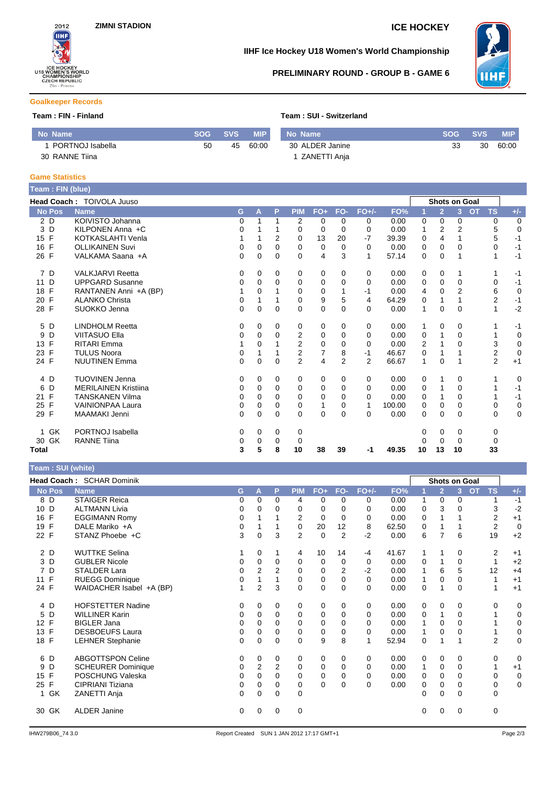

## **IIHF Ice Hockey U18 Women's World Championship**

### **PRELIMINARY ROUND - GROUP B - GAME 6**



#### **Goalkeeper Records**

#### **Team : FIN - Finland Team : SUI - Switzerland**

| No Name          | <b>SOG</b> | <b>SVS</b> | <b>MIP</b> | No Name         | <b>SOG</b> | <b>SVS</b> | <b>MIP</b> |
|------------------|------------|------------|------------|-----------------|------------|------------|------------|
| PORTNOJ Isabella | 50         | 45         | 60:00      | 30 ALDER Janine | 33         | 30         | 60:00      |
| 30 RANNE Tiina   |            |            |            | ZANETTI Anja    |            |            |            |

#### **Game Statistics**

| Team : FIN (blue)  |                             |          |          |          |             |                |                |             |        |                |                      |                |           |                |                |
|--------------------|-----------------------------|----------|----------|----------|-------------|----------------|----------------|-------------|--------|----------------|----------------------|----------------|-----------|----------------|----------------|
|                    | Head Coach: TOIVOLA Juuso   |          |          |          |             |                |                |             |        |                | <b>Shots on Goal</b> |                |           |                |                |
| <b>No Pos</b>      | <b>Name</b>                 | G.       | A        | P        | <b>PIM</b>  | $FO+$          | FO-            | $FO+/-$     | FO%    |                | $\overline{2}$       | 3 <sup>1</sup> | <b>OT</b> | <b>TS</b>      | $+/-$          |
| 2 D                | KOIVISTO Johanna            | 0        |          | 1        | 2           | $\Omega$       | $\Omega$       | 0           | 0.00   | 0              | 0                    | $\Omega$       |           | 0              | $\mathbf 0$    |
| D<br>3             | KILPONEN Anna +C            | 0        |          |          | $\Omega$    | $\Omega$       | $\Omega$       | $\Omega$    | 0.00   |                | $\overline{2}$       | $\overline{2}$ |           | 5              | $\mathbf 0$    |
| 15 F               | <b>KOTKASLAHTI Venla</b>    |          |          | 2        | 0           | 13             | 20             | $-7$        | 39.39  | 0              | 4                    |                |           | 5              | $-1$           |
| 16 F               | <b>OLLIKAINEN Suvi</b>      | 0        | 0        | $\Omega$ | $\Omega$    | 0              | $\Omega$       | $\Omega$    | 0.00   | 0              | $\Omega$             | $\Omega$       |           | 0              | $-1$           |
| 26 F               | VALKAMA Saana +A            | 0        | 0        | 0        | 0           | 4              | 3              | 1           | 57.14  | 0              | 0                    |                |           | 1              | $-1$           |
| 7 D                | <b>VALKJARVI Reetta</b>     | 0        | 0        | 0        | 0           | 0              | 0              | 0           | 0.00   | 0              | 0                    | 1              |           | 1              | $-1$           |
| D<br>11            | <b>UPPGARD Susanne</b>      | 0        | 0        | 0        | 0           | 0              | 0              | $\mathbf 0$ | 0.00   | 0              | 0                    | 0              |           | 0              | $-1$           |
| 18 F               | RANTANEN Anni +A (BP)       |          | $\Omega$ |          | $\Omega$    | 0              |                | $-1$        | 0.00   | 4              | $\Omega$             | $\overline{2}$ |           | 6              | $\mathbf 0$    |
| F<br>20            | <b>ALANKO Christa</b>       | 0        | 1        |          | $\Omega$    | 9              | 5              | 4           | 64.29  | 0              | 1                    |                |           | $\overline{2}$ | $-1$           |
| 28 F               | SUOKKO Jenna                | 0        | $\Omega$ | $\Omega$ | $\Omega$    | $\Omega$       | 0              | $\Omega$    | 0.00   | 1              | 0                    | $\Omega$       |           |                | $-2$           |
| 5<br>D             | <b>LINDHOLM Reetta</b>      | 0        | 0        | 0        | 0           | 0              | 0              | 0           | 0.00   | 1              | 0                    | 0              |           |                | $-1$           |
| D<br>9             | <b>VIITASUO Ella</b>        | 0        | 0        | 0        | 2           | 0              | 0              | 0           | 0.00   | 0              | 1                    | $\Omega$       |           |                | $\mathbf 0$    |
| F<br>13            | <b>RITARI</b> Emma          |          | 0        |          | 2           | 0              | 0              | $\Omega$    | 0.00   | $\overline{2}$ |                      | $\Omega$       |           | 3              | $\mathbf 0$    |
| F<br>23            | <b>TULUS Noora</b>          | 0        | 1        |          | 2           | $\overline{7}$ | 8              | $-1$        | 46.67  | 0              | 1                    |                |           | 2              | $\overline{0}$ |
| 24 F               | <b>NUUTINEN Emma</b>        | $\Omega$ | $\Omega$ | $\Omega$ | 2           | 4              | $\overline{2}$ | 2           | 66.67  | 1              | $\Omega$             |                |           | $\overline{2}$ | $+1$           |
| 4 D                | <b>TUOVINEN Jenna</b>       | 0        | $\Omega$ | $\Omega$ | 0           | 0              | 0              | 0           | 0.00   | 0              | 1                    | 0              |           |                | $\mathbf 0$    |
| D<br>6             | <b>MERILAINEN Kristiina</b> | 0        | 0        | $\Omega$ | $\mathbf 0$ | 0              | 0              | 0           | 0.00   | 0              | 1                    | 0              |           |                | $-1$           |
| $\mathsf{F}$<br>21 | <b>TANSKANEN Vilma</b>      | 0        | $\Omega$ | $\Omega$ | 0           | 0              | $\Omega$       | $\Omega$    | 0.00   | 0              | 1                    | $\Omega$       |           |                | $-1$           |
| $\mathsf{F}$<br>25 | <b>VAINIONPAA Laura</b>     | 0        | $\Omega$ | 0        | 0           | 1              | 0              | 1           | 100.00 | 0              | 0                    | $\Omega$       |           | 0              | $\pmb{0}$      |
| 29 F               | MAAMAKI Jenni               | 0        | 0        | $\Omega$ | $\Omega$    | $\Omega$       | $\Omega$       | $\Omega$    | 0.00   | $\Omega$       | $\Omega$             | $\Omega$       |           | $\Omega$       | $\mathbf 0$    |
| 1 GK               | PORTNOJ Isabella            | 0        | 0        | 0        | 0           |                |                |             |        | 0              | 0                    | 0              |           | 0              |                |
| 30 GK              | <b>RANNE Tiina</b>          | 0        | 0        | 0        | 0           |                |                |             |        | 0              | 0                    | 0              |           | 0              |                |
| Total              |                             | 3        | 5        | 8        | 10          | 38             | 39             | -1          | 49.35  | 10             | 13                   | 10             |           | 33             |                |

## **Team : SUI (white)**

| relau: 301 (WIII)         |                                                                                                                                                                                                                                                  |                         |                          |                               |                                            |                                                               |                                     |           |                                       |                            |                       |                    |                                                                                |
|---------------------------|--------------------------------------------------------------------------------------------------------------------------------------------------------------------------------------------------------------------------------------------------|-------------------------|--------------------------|-------------------------------|--------------------------------------------|---------------------------------------------------------------|-------------------------------------|-----------|---------------------------------------|----------------------------|-----------------------|--------------------|--------------------------------------------------------------------------------|
| Head Coach: SCHAR Dominik |                                                                                                                                                                                                                                                  |                         |                          |                               |                                            |                                                               |                                     |           |                                       |                            |                       |                    |                                                                                |
| <b>Name</b>               | G                                                                                                                                                                                                                                                | A                       | P                        | <b>PIM</b>                    | $FO+$                                      | FO-                                                           | $FO+/-$                             | FO%       |                                       | $\overline{2}$             | 3                     | <b>TS</b>          | $+/-$                                                                          |
| <b>STAIGER Reica</b>      | 0                                                                                                                                                                                                                                                | 0                       | 0                        | 4                             | 0                                          | 0                                                             | 0                                   | 0.00      |                                       | 0                          | 0                     | 1                  | $-1$                                                                           |
| <b>ALTMANN Livia</b>      | 0                                                                                                                                                                                                                                                | 0                       | $\Omega$                 | 0                             | 0                                          | $\Omega$                                                      | 0                                   | 0.00      | $\Omega$                              | 3                          | 0                     | 3                  | $-2$                                                                           |
| <b>EGGIMANN Romy</b>      | 0                                                                                                                                                                                                                                                |                         |                          | 2                             | 0                                          | $\Omega$                                                      | 0                                   | 0.00      | 0                                     |                            |                       | 2                  | $+1$                                                                           |
| DALE Mariko +A            | 0                                                                                                                                                                                                                                                |                         |                          | $\mathbf 0$                   | 20                                         | 12                                                            | 8                                   | 62.50     | 0                                     | 1                          |                       | $\overline{2}$     | $\mathbf 0$                                                                    |
| STANZ Phoebe +C           | 3                                                                                                                                                                                                                                                | 0                       | 3                        | 2                             | 0                                          | $\overline{2}$                                                | $-2$                                | 0.00      | 6                                     | $\overline{7}$             | 6                     | 19                 | $+2$                                                                           |
| <b>WUTTKE Selina</b>      |                                                                                                                                                                                                                                                  | 0                       | 1                        | 4                             | 10                                         | 14                                                            | -4                                  | 41.67     | 1                                     | 1                          | 0                     | 2                  | $+1$                                                                           |
|                           |                                                                                                                                                                                                                                                  |                         |                          |                               |                                            |                                                               | 0                                   |           |                                       |                            |                       |                    | $+2$                                                                           |
|                           |                                                                                                                                                                                                                                                  |                         |                          |                               |                                            |                                                               |                                     |           |                                       |                            |                       |                    | $+4$                                                                           |
|                           | 0                                                                                                                                                                                                                                                |                         |                          |                               |                                            |                                                               |                                     |           | 1                                     |                            | 0                     |                    | $+1$                                                                           |
|                           |                                                                                                                                                                                                                                                  |                         |                          |                               |                                            |                                                               | 0                                   |           |                                       | 1                          |                       | 1                  | $+1$                                                                           |
| <b>HOFSTETTER Nadine</b>  | 0                                                                                                                                                                                                                                                | 0                       | 0                        | 0                             | 0                                          | 0                                                             | 0                                   | 0.00      | 0                                     | 0                          | 0                     | 0                  | 0                                                                              |
|                           | 0                                                                                                                                                                                                                                                | 0                       | $\Omega$                 | 0                             | 0                                          | $\Omega$                                                      | 0                                   | 0.00      | 0                                     | 1                          | 0                     |                    | 0                                                                              |
|                           | 0                                                                                                                                                                                                                                                | 0                       | $\Omega$                 | 0                             | 0                                          | $\Omega$                                                      | 0                                   | 0.00      | 1                                     | $\Omega$                   | 0                     |                    | $\mathbf 0$                                                                    |
| <b>DESBOEUFS Laura</b>    | $\mathbf 0$                                                                                                                                                                                                                                      | $\Omega$                | $\Omega$                 | 0                             |                                            | 0                                                             | 0                                   | 0.00      | 1                                     | 0                          | 0                     |                    | $\pmb{0}$                                                                      |
|                           | $\Omega$                                                                                                                                                                                                                                         | $\mathbf 0$             | $\Omega$                 |                               |                                            |                                                               | 1                                   |           |                                       |                            |                       |                    | $\mathbf 0$                                                                    |
| <b>ABGOTTSPON Celine</b>  | 0                                                                                                                                                                                                                                                | 0                       | 0                        | 0                             | 0                                          | 0                                                             | 0                                   | 0.00      | 0                                     | 0                          | 0                     | 0                  | 0                                                                              |
|                           | 0                                                                                                                                                                                                                                                | 2                       |                          | 0                             | 0                                          | 0                                                             | 0                                   | 0.00      | 1                                     | 0                          | 0                     | 1                  | $+1$                                                                           |
|                           | $\mathbf 0$                                                                                                                                                                                                                                      | $\Omega$                | $\Omega$                 | 0                             |                                            | $\Omega$                                                      | 0                                   | 0.00      | 0                                     | 0                          | $\Omega$              | 0                  | $\mathbf 0$                                                                    |
|                           | 0                                                                                                                                                                                                                                                | 0                       | 0                        | 0                             | 0                                          | $\Omega$                                                      | 0                                   | 0.00      | 0                                     | 0                          | 0                     | 0                  | $\mathbf 0$                                                                    |
| ZANETTI Anja              | $\Omega$                                                                                                                                                                                                                                         | $\Omega$                | $\Omega$                 | 0                             |                                            |                                                               |                                     |           | $\Omega$                              | $\Omega$                   | $\Omega$              | 0                  |                                                                                |
| <b>ALDER Janine</b>       | 0                                                                                                                                                                                                                                                | 0                       | $\mathbf 0$              | 0                             |                                            |                                                               |                                     |           | 0                                     | 0                          | 0                     | 0                  |                                                                                |
|                           | <b>GUBLER Nicole</b><br><b>STALDER Lara</b><br><b>RUEGG Dominique</b><br>WAIDACHER Isabel +A (BP)<br><b>WILLINER Karin</b><br><b>BIGLER Jana</b><br><b>LEHNER Stephanie</b><br><b>SCHEURER Dominique</b><br>POSCHUNG Valeska<br>CIPRIANI Tiziana | $\mathbf 0$<br>$\Omega$ | 0<br>$\overline{2}$<br>2 | 0<br>2<br>3<br>$\overline{2}$ | 0<br>$\Omega$<br>0<br>$\Omega$<br>$\Omega$ | 0<br>0<br>0<br>$\mathbf 0$<br>$\mathbf 0$<br>9<br>$\mathbf 0$ | 0<br>2<br>$\Omega$<br>$\Omega$<br>8 | $-2$<br>0 | 0.00<br>0.00<br>0.00<br>0.00<br>52.94 | 0<br>1<br>0<br>$\mathbf 0$ | 1<br>6<br>$\mathbf 0$ | 0<br>5<br>$\Omega$ | <b>Shots on Goal</b><br>O <sub>T</sub><br>$\mathbf{1}$<br>12<br>$\overline{2}$ |